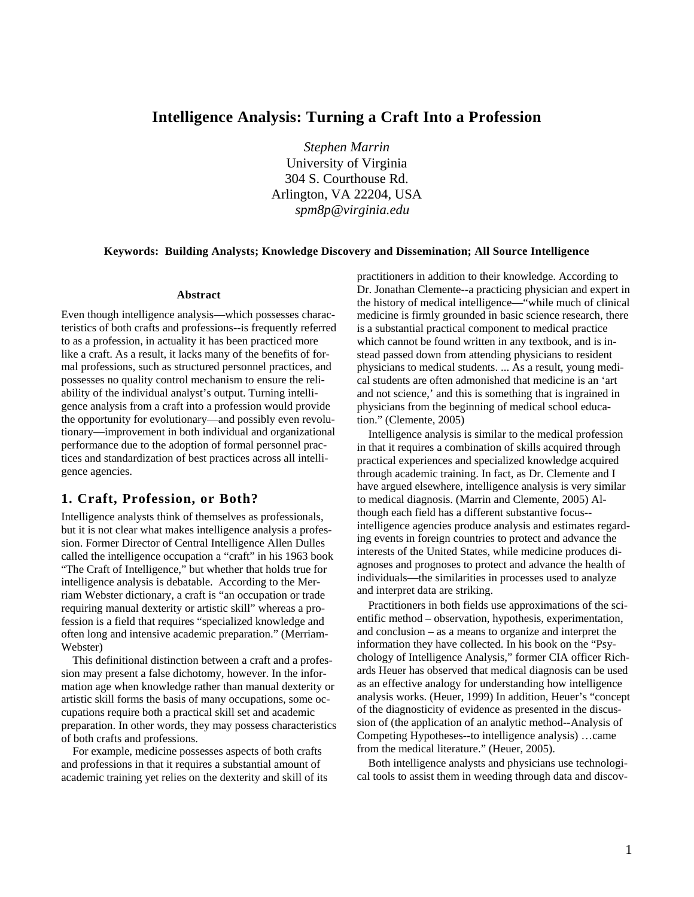# **Intelligence Analysis: Turning a Craft Into a Profession**

*Stephen Marrin*  University of Virginia 304 S. Courthouse Rd. Arlington, VA 22204, USA *spm8p@virginia.edu* 

#### **Keywords: Building Analysts; Knowledge Discovery and Dissemination; All Source Intelligence**

#### **Abstract**

Even though intelligence analysis—which possesses characteristics of both crafts and professions--is frequently referred to as a profession, in actuality it has been practiced more like a craft. As a result, it lacks many of the benefits of formal professions, such as structured personnel practices, and possesses no quality control mechanism to ensure the reliability of the individual analyst's output. Turning intelligence analysis from a craft into a profession would provide the opportunity for evolutionary—and possibly even revolutionary—improvement in both individual and organizational performance due to the adoption of formal personnel practices and standardization of best practices across all intelligence agencies.

# **1. Craft, Profession, or Both?**

Intelligence analysts think of themselves as professionals, but it is not clear what makes intelligence analysis a profession. Former Director of Central Intelligence Allen Dulles called the intelligence occupation a "craft" in his 1963 book "The Craft of Intelligence," but whether that holds true for intelligence analysis is debatable. According to the Merriam Webster dictionary, a craft is "an occupation or trade requiring manual dexterity or artistic skill" whereas a profession is a field that requires "specialized knowledge and often long and intensive academic preparation." (Merriam-Webster)

This definitional distinction between a craft and a profession may present a false dichotomy, however. In the information age when knowledge rather than manual dexterity or artistic skill forms the basis of many occupations, some occupations require both a practical skill set and academic preparation. In other words, they may possess characteristics of both crafts and professions.

For example, medicine possesses aspects of both crafts and professions in that it requires a substantial amount of academic training yet relies on the dexterity and skill of its practitioners in addition to their knowledge. According to Dr. Jonathan Clemente--a practicing physician and expert in the history of medical intelligence—"while much of clinical medicine is firmly grounded in basic science research, there is a substantial practical component to medical practice which cannot be found written in any textbook, and is instead passed down from attending physicians to resident physicians to medical students. ... As a result, young medical students are often admonished that medicine is an 'art and not science,' and this is something that is ingrained in physicians from the beginning of medical school education." (Clemente, 2005)

Intelligence analysis is similar to the medical profession in that it requires a combination of skills acquired through practical experiences and specialized knowledge acquired through academic training. In fact, as Dr. Clemente and I have argued elsewhere, intelligence analysis is very similar to medical diagnosis. (Marrin and Clemente, 2005) Although each field has a different substantive focus- intelligence agencies produce analysis and estimates regarding events in foreign countries to protect and advance the interests of the United States, while medicine produces diagnoses and prognoses to protect and advance the health of individuals—the similarities in processes used to analyze and interpret data are striking.

Practitioners in both fields use approximations of the scientific method – observation, hypothesis, experimentation, and conclusion – as a means to organize and interpret the information they have collected. In his book on the "Psychology of Intelligence Analysis," former CIA officer Richards Heuer has observed that medical diagnosis can be used as an effective analogy for understanding how intelligence analysis works. (Heuer, 1999) In addition, Heuer's "concept of the diagnosticity of evidence as presented in the discussion of (the application of an analytic method--Analysis of Competing Hypotheses--to intelligence analysis) …came from the medical literature." (Heuer, 2005).

Both intelligence analysts and physicians use technological tools to assist them in weeding through data and discov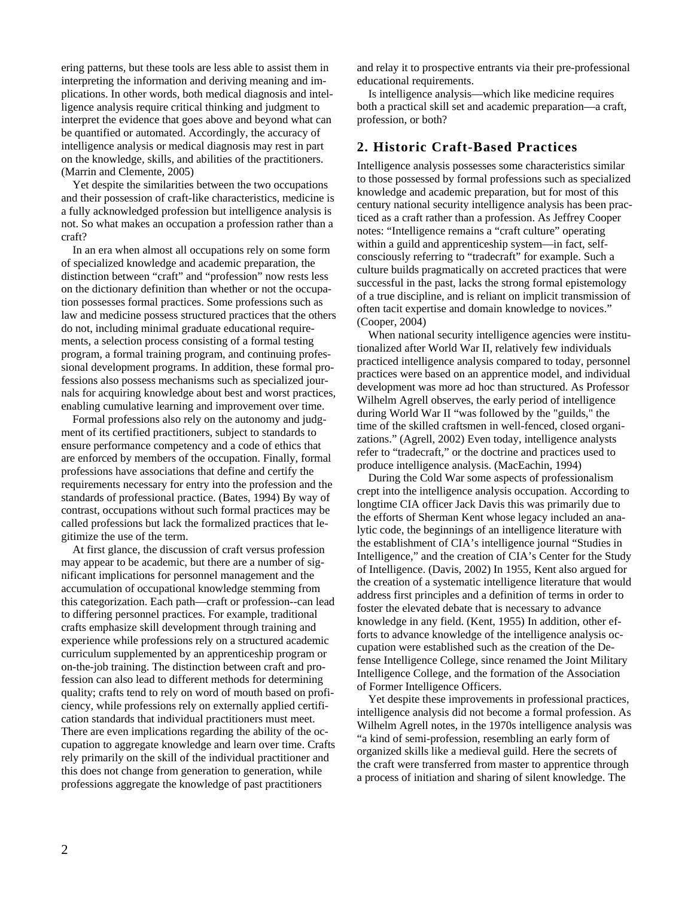ering patterns, but these tools are less able to assist them in interpreting the information and deriving meaning and implications. In other words, both medical diagnosis and intelligence analysis require critical thinking and judgment to interpret the evidence that goes above and beyond what can be quantified or automated. Accordingly, the accuracy of intelligence analysis or medical diagnosis may rest in part on the knowledge, skills, and abilities of the practitioners. (Marrin and Clemente, 2005)

Yet despite the similarities between the two occupations and their possession of craft-like characteristics, medicine is a fully acknowledged profession but intelligence analysis is not. So what makes an occupation a profession rather than a craft?

In an era when almost all occupations rely on some form of specialized knowledge and academic preparation, the distinction between "craft" and "profession" now rests less on the dictionary definition than whether or not the occupation possesses formal practices. Some professions such as law and medicine possess structured practices that the others do not, including minimal graduate educational requirements, a selection process consisting of a formal testing program, a formal training program, and continuing professional development programs. In addition, these formal professions also possess mechanisms such as specialized journals for acquiring knowledge about best and worst practices, enabling cumulative learning and improvement over time.

Formal professions also rely on the autonomy and judgment of its certified practitioners, subject to standards to ensure performance competency and a code of ethics that are enforced by members of the occupation. Finally, formal professions have associations that define and certify the requirements necessary for entry into the profession and the standards of professional practice. (Bates, 1994) By way of contrast, occupations without such formal practices may be called professions but lack the formalized practices that legitimize the use of the term.

At first glance, the discussion of craft versus profession may appear to be academic, but there are a number of significant implications for personnel management and the accumulation of occupational knowledge stemming from this categorization. Each path—craft or profession--can lead to differing personnel practices. For example, traditional crafts emphasize skill development through training and experience while professions rely on a structured academic curriculum supplemented by an apprenticeship program or on-the-job training. The distinction between craft and profession can also lead to different methods for determining quality; crafts tend to rely on word of mouth based on proficiency, while professions rely on externally applied certification standards that individual practitioners must meet. There are even implications regarding the ability of the occupation to aggregate knowledge and learn over time. Crafts rely primarily on the skill of the individual practitioner and this does not change from generation to generation, while professions aggregate the knowledge of past practitioners

and relay it to prospective entrants via their pre-professional educational requirements.

Is intelligence analysis—which like medicine requires both a practical skill set and academic preparation—a craft, profession, or both?

### **2. Historic Craft-Based Practices**

Intelligence analysis possesses some characteristics similar to those possessed by formal professions such as specialized knowledge and academic preparation, but for most of this century national security intelligence analysis has been practiced as a craft rather than a profession. As Jeffrey Cooper notes: "Intelligence remains a "craft culture" operating within a guild and apprenticeship system—in fact, selfconsciously referring to "tradecraft" for example. Such a culture builds pragmatically on accreted practices that were successful in the past, lacks the strong formal epistemology of a true discipline, and is reliant on implicit transmission of often tacit expertise and domain knowledge to novices." (Cooper, 2004)

When national security intelligence agencies were institutionalized after World War II, relatively few individuals practiced intelligence analysis compared to today, personnel practices were based on an apprentice model, and individual development was more ad hoc than structured. As Professor Wilhelm Agrell observes, the early period of intelligence during World War II "was followed by the "guilds," the time of the skilled craftsmen in well-fenced, closed organizations." (Agrell, 2002) Even today, intelligence analysts refer to "tradecraft," or the doctrine and practices used to produce intelligence analysis. (MacEachin, 1994)

During the Cold War some aspects of professionalism crept into the intelligence analysis occupation. According to longtime CIA officer Jack Davis this was primarily due to the efforts of Sherman Kent whose legacy included an analytic code, the beginnings of an intelligence literature with the establishment of CIA's intelligence journal "Studies in Intelligence," and the creation of CIA's Center for the Study of Intelligence. (Davis, 2002) In 1955, Kent also argued for the creation of a systematic intelligence literature that would address first principles and a definition of terms in order to foster the elevated debate that is necessary to advance knowledge in any field. (Kent, 1955) In addition, other efforts to advance knowledge of the intelligence analysis occupation were established such as the creation of the Defense Intelligence College, since renamed the Joint Military Intelligence College, and the formation of the Association of Former Intelligence Officers.

Yet despite these improvements in professional practices, intelligence analysis did not become a formal profession. As Wilhelm Agrell notes, in the 1970s intelligence analysis was "a kind of semi-profession, resembling an early form of organized skills like a medieval guild. Here the secrets of the craft were transferred from master to apprentice through a process of initiation and sharing of silent knowledge. The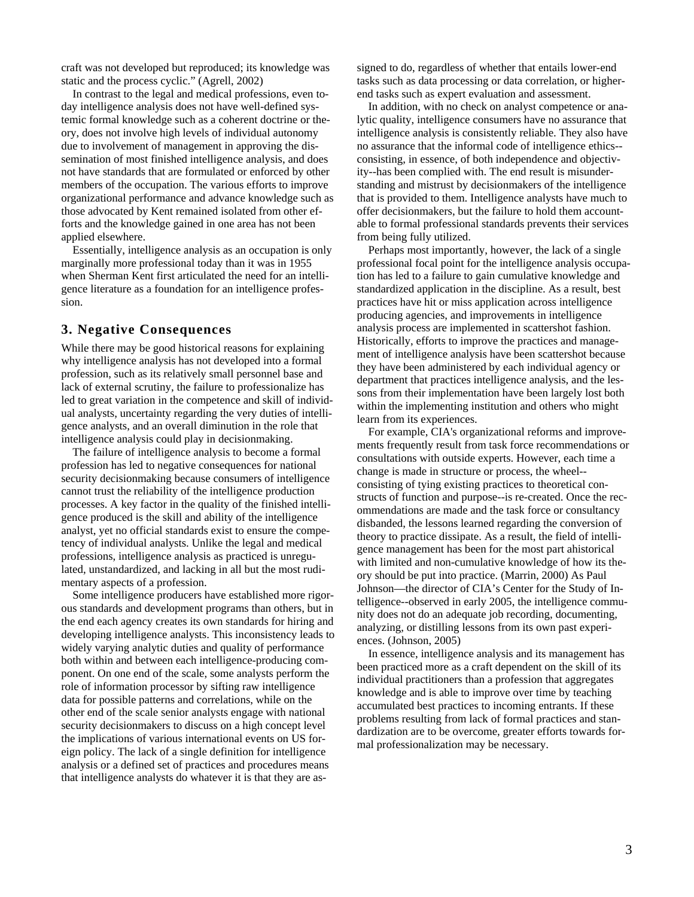craft was not developed but reproduced; its knowledge was static and the process cyclic." (Agrell, 2002)

In contrast to the legal and medical professions, even today intelligence analysis does not have well-defined systemic formal knowledge such as a coherent doctrine or theory, does not involve high levels of individual autonomy due to involvement of management in approving the dissemination of most finished intelligence analysis, and does not have standards that are formulated or enforced by other members of the occupation. The various efforts to improve organizational performance and advance knowledge such as those advocated by Kent remained isolated from other efforts and the knowledge gained in one area has not been applied elsewhere.

Essentially, intelligence analysis as an occupation is only marginally more professional today than it was in 1955 when Sherman Kent first articulated the need for an intelligence literature as a foundation for an intelligence profession.

# **3. Negative Consequences**

While there may be good historical reasons for explaining why intelligence analysis has not developed into a formal profession, such as its relatively small personnel base and lack of external scrutiny, the failure to professionalize has led to great variation in the competence and skill of individual analysts, uncertainty regarding the very duties of intelligence analysts, and an overall diminution in the role that intelligence analysis could play in decisionmaking.

The failure of intelligence analysis to become a formal profession has led to negative consequences for national security decisionmaking because consumers of intelligence cannot trust the reliability of the intelligence production processes. A key factor in the quality of the finished intelligence produced is the skill and ability of the intelligence analyst, yet no official standards exist to ensure the competency of individual analysts. Unlike the legal and medical professions, intelligence analysis as practiced is unregulated, unstandardized, and lacking in all but the most rudimentary aspects of a profession.

Some intelligence producers have established more rigorous standards and development programs than others, but in the end each agency creates its own standards for hiring and developing intelligence analysts. This inconsistency leads to widely varying analytic duties and quality of performance both within and between each intelligence-producing component. On one end of the scale, some analysts perform the role of information processor by sifting raw intelligence data for possible patterns and correlations, while on the other end of the scale senior analysts engage with national security decisionmakers to discuss on a high concept level the implications of various international events on US foreign policy. The lack of a single definition for intelligence analysis or a defined set of practices and procedures means that intelligence analysts do whatever it is that they are assigned to do, regardless of whether that entails lower-end tasks such as data processing or data correlation, or higherend tasks such as expert evaluation and assessment.

In addition, with no check on analyst competence or analytic quality, intelligence consumers have no assurance that intelligence analysis is consistently reliable. They also have no assurance that the informal code of intelligence ethics- consisting, in essence, of both independence and objectivity--has been complied with. The end result is misunderstanding and mistrust by decisionmakers of the intelligence that is provided to them. Intelligence analysts have much to offer decisionmakers, but the failure to hold them accountable to formal professional standards prevents their services from being fully utilized.

Perhaps most importantly, however, the lack of a single professional focal point for the intelligence analysis occupation has led to a failure to gain cumulative knowledge and standardized application in the discipline. As a result, best practices have hit or miss application across intelligence producing agencies, and improvements in intelligence analysis process are implemented in scattershot fashion. Historically, efforts to improve the practices and management of intelligence analysis have been scattershot because they have been administered by each individual agency or department that practices intelligence analysis, and the lessons from their implementation have been largely lost both within the implementing institution and others who might learn from its experiences.

For example, CIA's organizational reforms and improvements frequently result from task force recommendations or consultations with outside experts. However, each time a change is made in structure or process, the wheel- consisting of tying existing practices to theoretical constructs of function and purpose--is re-created. Once the recommendations are made and the task force or consultancy disbanded, the lessons learned regarding the conversion of theory to practice dissipate. As a result, the field of intelligence management has been for the most part ahistorical with limited and non-cumulative knowledge of how its theory should be put into practice. (Marrin, 2000) As Paul Johnson—the director of CIA's Center for the Study of Intelligence--observed in early 2005, the intelligence community does not do an adequate job recording, documenting, analyzing, or distilling lessons from its own past experiences. (Johnson, 2005)

In essence, intelligence analysis and its management has been practiced more as a craft dependent on the skill of its individual practitioners than a profession that aggregates knowledge and is able to improve over time by teaching accumulated best practices to incoming entrants. If these problems resulting from lack of formal practices and standardization are to be overcome, greater efforts towards formal professionalization may be necessary.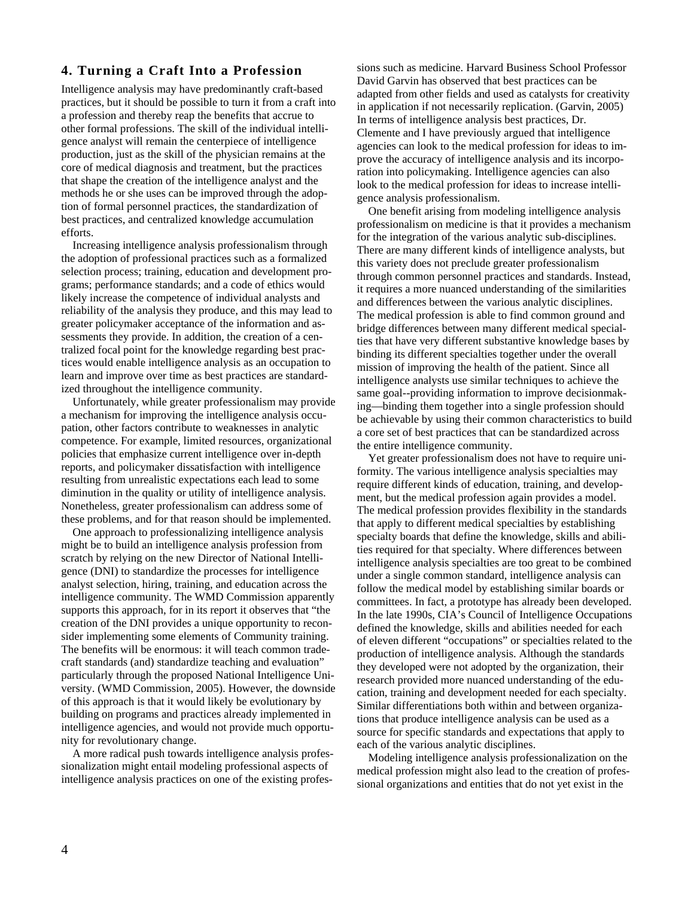# **4. Turning a Craft Into a Profession**

Intelligence analysis may have predominantly craft-based practices, but it should be possible to turn it from a craft into a profession and thereby reap the benefits that accrue to other formal professions. The skill of the individual intelligence analyst will remain the centerpiece of intelligence production, just as the skill of the physician remains at the core of medical diagnosis and treatment, but the practices that shape the creation of the intelligence analyst and the methods he or she uses can be improved through the adoption of formal personnel practices, the standardization of best practices, and centralized knowledge accumulation efforts.

Increasing intelligence analysis professionalism through the adoption of professional practices such as a formalized selection process; training, education and development programs; performance standards; and a code of ethics would likely increase the competence of individual analysts and reliability of the analysis they produce, and this may lead to greater policymaker acceptance of the information and assessments they provide. In addition, the creation of a centralized focal point for the knowledge regarding best practices would enable intelligence analysis as an occupation to learn and improve over time as best practices are standardized throughout the intelligence community.

Unfortunately, while greater professionalism may provide a mechanism for improving the intelligence analysis occupation, other factors contribute to weaknesses in analytic competence. For example, limited resources, organizational policies that emphasize current intelligence over in-depth reports, and policymaker dissatisfaction with intelligence resulting from unrealistic expectations each lead to some diminution in the quality or utility of intelligence analysis. Nonetheless, greater professionalism can address some of these problems, and for that reason should be implemented.

One approach to professionalizing intelligence analysis might be to build an intelligence analysis profession from scratch by relying on the new Director of National Intelligence (DNI) to standardize the processes for intelligence analyst selection, hiring, training, and education across the intelligence community. The WMD Commission apparently supports this approach, for in its report it observes that "the creation of the DNI provides a unique opportunity to reconsider implementing some elements of Community training. The benefits will be enormous: it will teach common tradecraft standards (and) standardize teaching and evaluation" particularly through the proposed National Intelligence University. (WMD Commission, 2005). However, the downside of this approach is that it would likely be evolutionary by building on programs and practices already implemented in intelligence agencies, and would not provide much opportunity for revolutionary change.

A more radical push towards intelligence analysis professionalization might entail modeling professional aspects of intelligence analysis practices on one of the existing professions such as medicine. Harvard Business School Professor David Garvin has observed that best practices can be adapted from other fields and used as catalysts for creativity in application if not necessarily replication. (Garvin, 2005) In terms of intelligence analysis best practices, Dr. Clemente and I have previously argued that intelligence agencies can look to the medical profession for ideas to improve the accuracy of intelligence analysis and its incorporation into policymaking. Intelligence agencies can also look to the medical profession for ideas to increase intelligence analysis professionalism.

One benefit arising from modeling intelligence analysis professionalism on medicine is that it provides a mechanism for the integration of the various analytic sub-disciplines. There are many different kinds of intelligence analysts, but this variety does not preclude greater professionalism through common personnel practices and standards. Instead, it requires a more nuanced understanding of the similarities and differences between the various analytic disciplines. The medical profession is able to find common ground and bridge differences between many different medical specialties that have very different substantive knowledge bases by binding its different specialties together under the overall mission of improving the health of the patient. Since all intelligence analysts use similar techniques to achieve the same goal--providing information to improve decisionmaking—binding them together into a single profession should be achievable by using their common characteristics to build a core set of best practices that can be standardized across the entire intelligence community.

Yet greater professionalism does not have to require uniformity. The various intelligence analysis specialties may require different kinds of education, training, and development, but the medical profession again provides a model. The medical profession provides flexibility in the standards that apply to different medical specialties by establishing specialty boards that define the knowledge, skills and abilities required for that specialty. Where differences between intelligence analysis specialties are too great to be combined under a single common standard, intelligence analysis can follow the medical model by establishing similar boards or committees. In fact, a prototype has already been developed. In the late 1990s, CIA's Council of Intelligence Occupations defined the knowledge, skills and abilities needed for each of eleven different "occupations" or specialties related to the production of intelligence analysis. Although the standards they developed were not adopted by the organization, their research provided more nuanced understanding of the education, training and development needed for each specialty. Similar differentiations both within and between organizations that produce intelligence analysis can be used as a source for specific standards and expectations that apply to each of the various analytic disciplines.

Modeling intelligence analysis professionalization on the medical profession might also lead to the creation of professional organizations and entities that do not yet exist in the